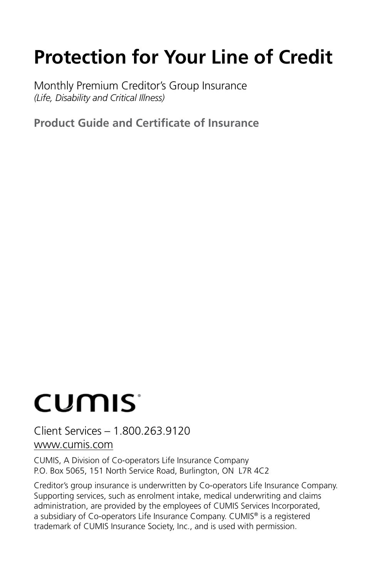## **Protection for Your Line of Credit**

Monthly Premium Creditor's Group Insurance *(Life, Disability and Critical Illness)* 

**Product Guide and Certificate of Insurance**

# CUMIS<sup>®</sup>

Client Services – 1.800.263.9120 <www.cumis.com>

CUMIS, A Division of Co-operators Life Insurance Company P.O. Box 5065, 151 North Service Road, Burlington, ON L7R 4C2

Creditor's group insurance is underwritten by Co-operators Life Insurance Company. Supporting services, such as enrolment intake, medical underwriting and claims administration, are provided by the employees of CUMIS Services Incorporated, a subsidiary of Co-operators Life Insurance Company. CUMIS® is a registered trademark of CUMIS Insurance Society, Inc., and is used with permission.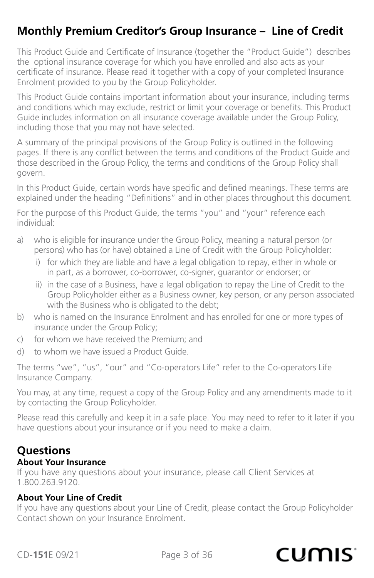## **Monthly Premium Creditor's Group Insurance – Line of Credit**

This Product Guide and Certificate of Insurance (together the "Product Guide") describes the optional insurance coverage for which you have enrolled and also acts as your certificate of insurance. Please read it together with a copy of your completed Insurance Enrolment provided to you by the Group Policyholder.

This Product Guide contains important information about your insurance, including terms and conditions which may exclude, restrict or limit your coverage or benefits. This Product Guide includes information on all insurance coverage available under the Group Policy, including those that you may not have selected.

A summary of the principal provisions of the Group Policy is outlined in the following pages. If there is any conflict between the terms and conditions of the Product Guide and those described in the Group Policy, the terms and conditions of the Group Policy shall govern.

In this Product Guide, certain words have specific and defined meanings. These terms are explained under the heading "Definitions" and in other places throughout this document.

For the purpose of this Product Guide, the terms "you" and "your" reference each individual:

- a) who is eligible for insurance under the Group Policy, meaning a natural person (or persons) who has (or have) obtained a Line of Credit with the Group Policyholder:
	- i) for which they are liable and have a legal obligation to repay, either in whole or in part, as a borrower, co-borrower, co-signer, guarantor or endorser; or
	- ii) in the case of a Business, have a legal obligation to repay the Line of Credit to the Group Policyholder either as a Business owner, key person, or any person associated with the Business who is obligated to the debt;
- b) who is named on the Insurance Enrolment and has enrolled for one or more types of insurance under the Group Policy;
- c) for whom we have received the Premium; and
- d) to whom we have issued a Product Guide.

The terms "we", "us", "our" and "Co-operators Life" refer to the Co-operators Life Insurance Company.

You may, at any time, request a copy of the Group Policy and any amendments made to it by contacting the Group Policyholder.

Please read this carefully and keep it in a safe place. You may need to refer to it later if you have questions about your insurance or if you need to make a claim.

### **Questions**

#### **About Your Insurance**

If you have any questions about your insurance, please call Client Services at 1.800.263.9120.

#### **About Your Line of Credit**

If you have any questions about your Line of Credit, please contact the Group Policyholder Contact shown on your Insurance Enrolment.

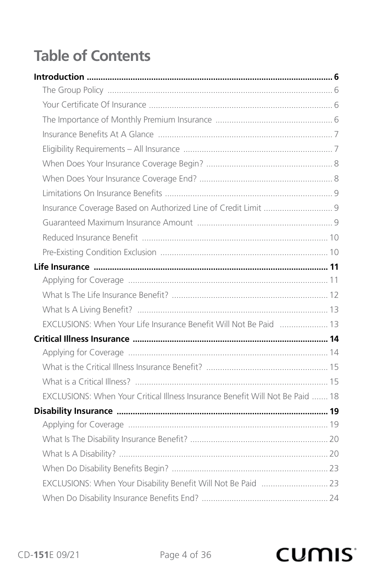## **Table of Contents**

| EXCLUSIONS: When Your Life Insurance Benefit Will Not Be Paid  13             |  |
|-------------------------------------------------------------------------------|--|
|                                                                               |  |
|                                                                               |  |
|                                                                               |  |
|                                                                               |  |
| EXCLUSIONS: When Your Critical Illness Insurance Benefit Will Not Be Paid  18 |  |
|                                                                               |  |
|                                                                               |  |
|                                                                               |  |
|                                                                               |  |
|                                                                               |  |
| EXCLUSIONS: When Your Disability Benefit Will Not Be Paid  23                 |  |
|                                                                               |  |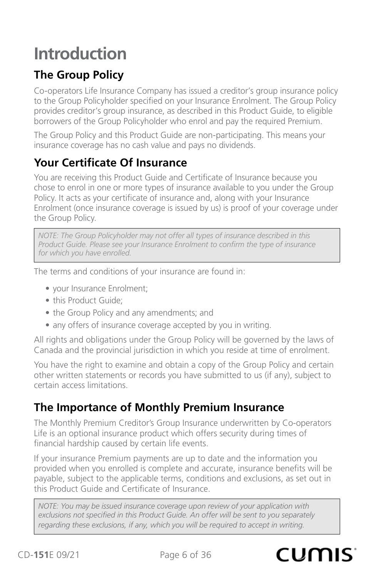## <span id="page-5-0"></span>**Introduction**

## **The Group Policy**

Co-operators Life Insurance Company has issued a creditor's group insurance policy to the Group Policyholder specified on your Insurance Enrolment. The Group Policy provides creditor's group insurance, as described in this Product Guide, to eligible borrowers of the Group Policyholder who enrol and pay the required Premium.

The Group Policy and this Product Guide are non-participating. This means your insurance coverage has no cash value and pays no dividends.

## **Your Certificate Of Insurance**

You are receiving this Product Guide and Certificate of Insurance because you chose to enrol in one or more types of insurance available to you under the Group Policy. It acts as your certificate of insurance and, along with your Insurance Enrolment (once insurance coverage is issued by us) is proof of your coverage under the Group Policy.

*NOTE: The Group Policyholder may not offer all types of insurance described in this Product Guide. Please see your Insurance Enrolment to confirm the type of insurance for which you have enrolled.*

The terms and conditions of your insurance are found in:

- your Insurance Enrolment;
- this Product Guide;
- the Group Policy and any amendments; and
- any offers of insurance coverage accepted by you in writing.

All rights and obligations under the Group Policy will be governed by the laws of Canada and the provincial jurisdiction in which you reside at time of enrolment.

You have the right to examine and obtain a copy of the Group Policy and certain other written statements or records you have submitted to us (if any), subject to certain access limitations.

## **The Importance of Monthly Premium Insurance**

The Monthly Premium Creditor's Group Insurance underwritten by Co-operators Life is an optional insurance product which offers security during times of financial hardship caused by certain life events.

If your insurance Premium payments are up to date and the information you provided when you enrolled is complete and accurate, insurance benefits will be payable, subject to the applicable terms, conditions and exclusions, as set out in this Product Guide and Certificate of Insurance.

*NOTE: You may be issued insurance coverage upon review of your application with exclusions not specified in this Product Guide. An offer will be sent to you separately regarding these exclusions, if any, which you will be required to accept in writing.*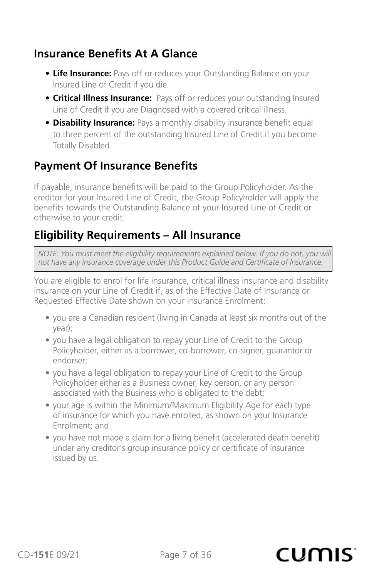### <span id="page-6-0"></span>**Insurance Benefits At A Glance**

- **Life Insurance:** Pays off or reduces your Outstanding Balance on your Insured Line of Credit if you die.
- **Critical Illness Insurance:** Pays off or reduces your outstanding Insured Line of Credit if you are Diagnosed with a covered critical illness.
- **Disability Insurance:** Pays a monthly disability insurance benefit equal to three percent of the outstanding Insured Line of Credit if you become Totally Disabled.

## **Payment Of Insurance Benefits**

If payable, insurance benefits will be paid to the Group Policyholder. As the creditor for your Insured Line of Credit, the Group Policyholder will apply the benefits towards the Outstanding Balance of your Insured Line of Credit or otherwise to your credit.

### **Eligibility Requirements – All Insurance**

*NOTE: You must meet the eligibility requirements explained below. If you do not, you will not have any insurance coverage under this Product Guide and Certificate of Insurance.*

You are eligible to enrol for life insurance, critical illness insurance and disability insurance on your Line of Credit if, as of the Effective Date of Insurance or Requested Effective Date shown on your Insurance Enrolment:

- you are a Canadian resident (living in Canada at least six months out of the year);
- you have a legal obligation to repay your Line of Credit to the Group Policyholder, either as a borrower, co-borrower, co-signer, guarantor or endorser;
- you have a legal obligation to repay your Line of Credit to the Group Policyholder either as a Business owner, key person, or any person associated with the Business who is obligated to the debt;
- your age is within the Minimum/Maximum Eligibility Age for each type of insurance for which you have enrolled, as shown on your Insurance Enrolment; and
- you have not made a claim for a living benefit (accelerated death benefit) under any creditor's group insurance policy or certificate of insurance issued by us.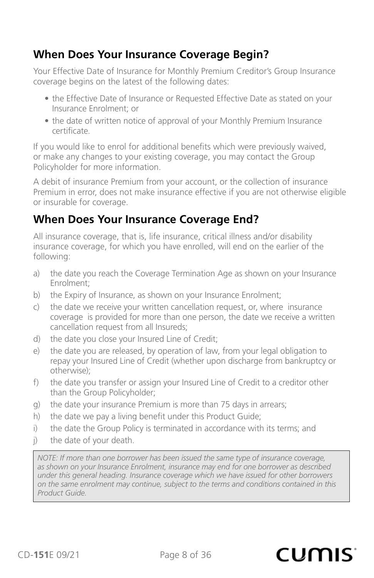## <span id="page-7-0"></span>**When Does Your Insurance Coverage Begin?**

Your Effective Date of Insurance for Monthly Premium Creditor's Group Insurance coverage begins on the latest of the following dates:

- the Effective Date of Insurance or Requested Effective Date as stated on your Insurance Enrolment; or
- the date of written notice of approval of your Monthly Premium Insurance certificate.

If you would like to enrol for additional benefits which were previously waived, or make any changes to your existing coverage, you may contact the Group Policyholder for more information.

A debit of insurance Premium from your account, or the collection of insurance Premium in error, does not make insurance effective if you are not otherwise eligible or insurable for coverage.

## **When Does Your Insurance Coverage End?**

All insurance coverage, that is, life insurance, critical illness and/or disability insurance coverage, for which you have enrolled, will end on the earlier of the following:

- a) the date you reach the Coverage Termination Age as shown on your Insurance Enrolment;
- b) the Expiry of Insurance, as shown on your Insurance Enrolment;
- c) the date we receive your written cancellation request, or, where insurance coverage is provided for more than one person, the date we receive a written cancellation request from all Insureds;
- d) the date you close your Insured Line of Credit;
- e) the date you are released, by operation of law, from your legal obligation to repay your Insured Line of Credit (whether upon discharge from bankruptcy or otherwise);
- f) the date you transfer or assign your Insured Line of Credit to a creditor other than the Group Policyholder;
- g) the date your insurance Premium is more than 75 days in arrears;
- h) the date we pay a living benefit under this Product Guide;
- i) the date the Group Policy is terminated in accordance with its terms; and
- j) the date of your death.

*NOTE: If more than one borrower has been issued the same type of insurance coverage, as shown on your Insurance Enrolment, insurance may end for one borrower as described under this general heading. Insurance coverage which we have issued for other borrowers on the same enrolment may continue, subject to the terms and conditions contained in this Product Guide.*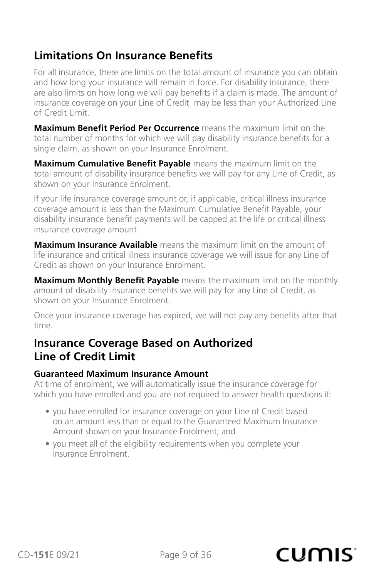### <span id="page-8-0"></span>**Limitations On Insurance Benefits**

For all insurance, there are limits on the total amount of insurance you can obtain and how long your insurance will remain in force. For disability insurance, there are also limits on how long we will pay benefits if a claim is made. The amount of insurance coverage on your Line of Credit may be less than your Authorized Line of Credit Limit.

**Maximum Benefit Period Per Occurrence** means the maximum limit on the total number of months for which we will pay disability insurance benefits for a single claim, as shown on your Insurance Enrolment.

**Maximum Cumulative Benefit Payable** means the maximum limit on the total amount of disability insurance benefits we will pay for any Line of Credit, as shown on your Insurance Enrolment.

If your life insurance coverage amount or, if applicable, critical illness insurance coverage amount is less than the Maximum Cumulative Benefit Payable, your disability insurance benefit payments will be capped at the life or critical illness insurance coverage amount.

**Maximum Insurance Available** means the maximum limit on the amount of life insurance and critical illness insurance coverage we will issue for any Line of Credit as shown on your Insurance Enrolment.

**Maximum Monthly Benefit Payable** means the maximum limit on the monthly amount of disability insurance benefits we will pay for any Line of Credit, as shown on your Insurance Enrolment.

Once your insurance coverage has expired, we will not pay any benefits after that time.

### **Insurance Coverage Based on Authorized Line of Credit Limit**

#### **Guaranteed Maximum Insurance Amount**

At time of enrolment, we will automatically issue the insurance coverage for which you have enrolled and you are not required to answer health questions if:

- you have enrolled for insurance coverage on your Line of Credit based on an amount less than or equal to the Guaranteed Maximum Insurance Amount shown on your Insurance Enrolment; and
- you meet all of the eligibility requirements when you complete your Insurance Enrolment.

#### CD-**151**E 09/21 Page 9 of 36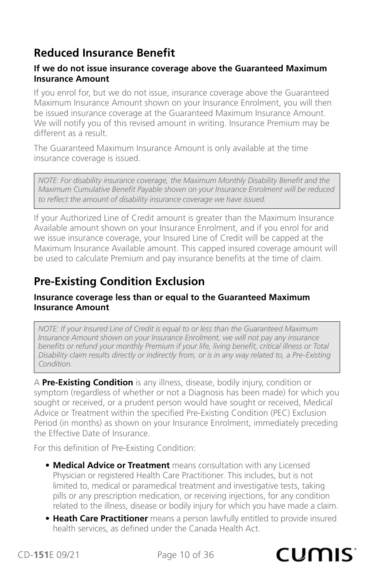## <span id="page-9-0"></span>**Reduced Insurance Benefit**

#### **If we do not issue insurance coverage above the Guaranteed Maximum Insurance Amount**

If you enrol for, but we do not issue, insurance coverage above the Guaranteed Maximum Insurance Amount shown on your Insurance Enrolment, you will then be issued insurance coverage at the Guaranteed Maximum Insurance Amount. We will notify you of this revised amount in writing. Insurance Premium may be different as a result.

The Guaranteed Maximum Insurance Amount is only available at the time insurance coverage is issued.

*NOTE: For disability insurance coverage, the Maximum Monthly Disability Benefit and the Maximum Cumulative Benefit Payable shown on your Insurance Enrolment will be reduced to reflect the amount of disability insurance coverage we have issued.*

If your Authorized Line of Credit amount is greater than the Maximum Insurance Available amount shown on your Insurance Enrolment, and if you enrol for and we issue insurance coverage, your Insured Line of Credit will be capped at the Maximum Insurance Available amount. This capped insured coverage amount will be used to calculate Premium and pay insurance benefits at the time of claim.

## **Pre-Existing Condition Exclusion**

#### **Insurance coverage less than or equal to the Guaranteed Maximum Insurance Amount**

*NOTE: If your Insured Line of Credit is equal to or less than the Guaranteed Maximum Insurance Amount shown on your Insurance Enrolment, we will not pay any insurance benefits or refund your monthly Premium if your life, living benefit, critical illness or Total Disability claim results directly or indirectly from, or is in any way related to, a Pre-Existing Condition.*

A **Pre-Existing Condition** is any illness, disease, bodily injury, condition or symptom (regardless of whether or not a Diagnosis has been made) for which you sought or received, or a prudent person would have sought or received, Medical Advice or Treatment within the specified Pre-Existing Condition (PEC) Exclusion Period (in months) as shown on your Insurance Enrolment, immediately preceding the Effective Date of Insurance.

For this definition of Pre-Existing Condition:

- **Medical Advice or Treatment** means consultation with any Licensed Physician or registered Health Care Practitioner. This includes, but is not limited to, medical or paramedical treatment and investigative tests, taking pills or any prescription medication, or receiving injections, for any condition related to the illness, disease or bodily injury for which you have made a claim.
- **Heath Care Practitioner** means a person lawfully entitled to provide insured health services, as defined under the Canada Health Act.

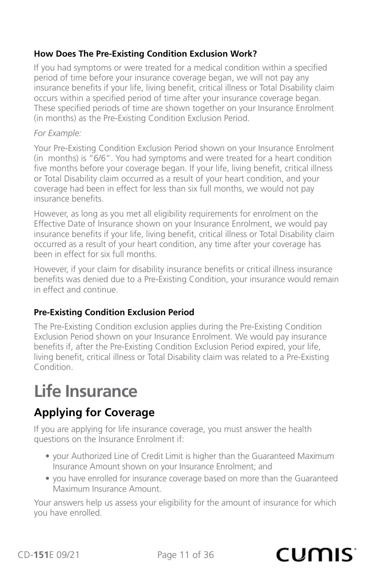#### <span id="page-10-0"></span>**How Does The Pre-Existing Condition Exclusion Work?**

If you had symptoms or were treated for a medical condition within a specified period of time before your insurance coverage began, we will not pay any insurance benefits if your life, living benefit, critical illness or Total Disability claim occurs within a specified period of time after your insurance coverage began. These specified periods of time are shown together on your Insurance Enrolment (in months) as the Pre-Existing Condition Exclusion Period.

#### *For Example:*

Your Pre-Existing Condition Exclusion Period shown on your Insurance Enrolment (in months) is "6/6". You had symptoms and were treated for a heart condition five months before your coverage began. If your life, living benefit, critical illness or Total Disability claim occurred as a result of your heart condition, and your coverage had been in effect for less than six full months, we would not pay insurance benefits.

However, as long as you met all eligibility requirements for enrolment on the Effective Date of Insurance shown on your Insurance Enrolment, we would pay insurance benefits if your life, living benefit, critical illness or Total Disability claim occurred as a result of your heart condition, any time after your coverage has been in effect for six full months.

However, if your claim for disability insurance benefits or critical illness insurance benefits was denied due to a Pre-Existing Condition, your insurance would remain in effect and continue.

#### **Pre-Existing Condition Exclusion Period**

The Pre-Existing Condition exclusion applies during the Pre-Existing Condition Exclusion Period shown on your Insurance Enrolment. We would pay insurance benefits if, after the Pre-Existing Condition Exclusion Period expired, your life, living benefit, critical illness or Total Disability claim was related to a Pre-Existing Condition.

## **Life Insurance**

## **Applying for Coverage**

If you are applying for life insurance coverage, you must answer the health questions on the Insurance Enrolment if:

- your Authorized Line of Credit Limit is higher than the Guaranteed Maximum Insurance Amount shown on your Insurance Enrolment; and
- you have enrolled for insurance coverage based on more than the Guaranteed Maximum Insurance Amount.

Your answers help us assess your eligibility for the amount of insurance for which you have enrolled.

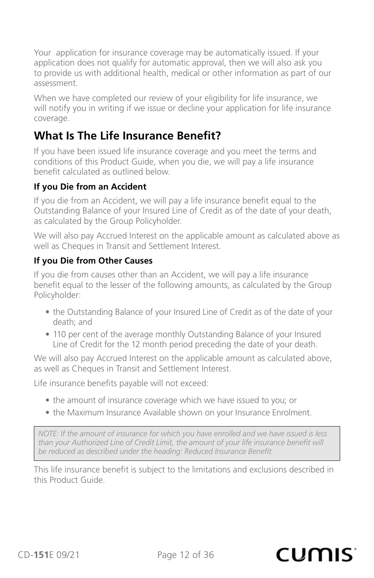<span id="page-11-0"></span>Your application for insurance coverage may be automatically issued. If your application does not qualify for automatic approval, then we will also ask you to provide us with additional health, medical or other information as part of our assessment.

When we have completed our review of your eligibility for life insurance, we will notify you in writing if we issue or decline your application for life insurance coverage.

### **What Is The Life Insurance Benefit?**

If you have been issued life insurance coverage and you meet the terms and conditions of this Product Guide, when you die, we will pay a life insurance benefit calculated as outlined below.

#### **If you Die from an Accident**

If you die from an Accident, we will pay a life insurance benefit equal to the Outstanding Balance of your Insured Line of Credit as of the date of your death, as calculated by the Group Policyholder.

We will also pay Accrued Interest on the applicable amount as calculated above as well as Cheques in Transit and Settlement Interest.

#### **If you Die from Other Causes**

If you die from causes other than an Accident, we will pay a life insurance benefit equal to the lesser of the following amounts, as calculated by the Group Policyholder:

- the Outstanding Balance of your Insured Line of Credit as of the date of your death; and
- 110 per cent of the average monthly Outstanding Balance of your Insured Line of Credit for the 12 month period preceding the date of your death.

We will also pay Accrued Interest on the applicable amount as calculated above, as well as Cheques in Transit and Settlement Interest.

Life insurance benefits payable will not exceed:

- the amount of insurance coverage which we have issued to you; or
- the Maximum Insurance Available shown on your Insurance Enrolment.

*NOTE: If the amount of insurance for which you have enrolled and we have issued is less than your Authorized Line of Credit Limit, the amount of your life insurance benefit will be reduced as described under the heading: Reduced Insurance Benefit.*

This life insurance benefit is subject to the limitations and exclusions described in this Product Guide.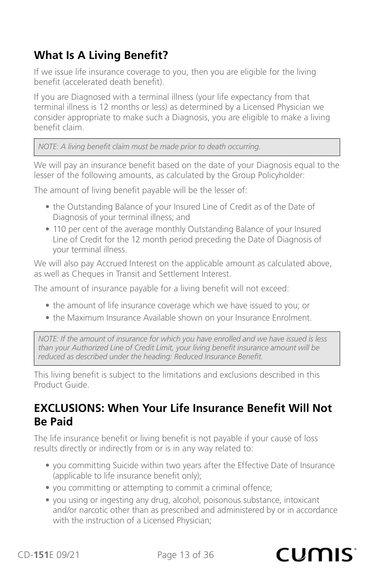## <span id="page-12-0"></span>**What Is A Living Benefit?**

If we issue life insurance coverage to you, then you are eligible for the living benefit (accelerated death benefit).

If you are Diagnosed with a terminal illness (your life expectancy from that terminal illness is 12 months or less) as determined by a Licensed Physician we consider appropriate to make such a Diagnosis, you are eligible to make a living benefit claim.

*NOTE: A living benefit claim must be made prior to death occurring.*

We will pay an insurance benefit based on the date of your Diagnosis equal to the lesser of the following amounts, as calculated by the Group Policyholder:

The amount of living benefit payable will be the lesser of:

- the Outstanding Balance of your Insured Line of Credit as of the Date of Diagnosis of your terminal illness; and
- 110 per cent of the average monthly Outstanding Balance of your Insured Line of Credit for the 12 month period preceding the Date of Diagnosis of your terminal illness.

We will also pay Accrued Interest on the applicable amount as calculated above, as well as Cheques in Transit and Settlement Interest.

The amount of insurance payable for a living benefit will not exceed:

- the amount of life insurance coverage which we have issued to you; or
- the Maximum Insurance Available shown on your Insurance Enrolment.

*NOTE: If the amount of insurance for which you have enrolled and we have issued is less than your Authorized Line of Credit Limit, your living benefit insurance amount will be reduced as described under the heading: Reduced Insurance Benefit.*

This living benefit is subject to the limitations and exclusions described in this Product Guide.

### **EXCLUSIONS: When Your Life Insurance Benefit Will Not Be Paid**

The life insurance benefit or living benefit is not payable if your cause of loss results directly or indirectly from or is in any way related to:

- you committing Suicide within two years after the Effective Date of Insurance (applicable to life insurance benefit only);
- you committing or attempting to commit a criminal offence;
- you using or ingesting any drug, alcohol, poisonous substance, intoxicant and/or narcotic other than as prescribed and administered by or in accordance with the instruction of a Licensed Physician;

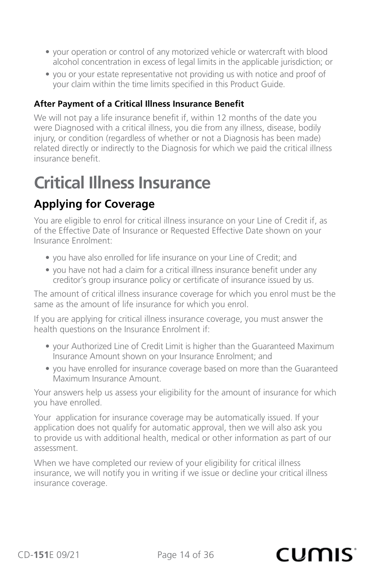- <span id="page-13-0"></span>• your operation or control of any motorized vehicle or watercraft with blood alcohol concentration in excess of legal limits in the applicable jurisdiction; or
- you or your estate representative not providing us with notice and proof of your claim within the time limits specified in this Product Guide.

#### **After Payment of a Critical Illness Insurance Benefit**

We will not pay a life insurance benefit if, within 12 months of the date you were Diagnosed with a critical illness, you die from any illness, disease, bodily injury, or condition (regardless of whether or not a Diagnosis has been made) related directly or indirectly to the Diagnosis for which we paid the critical illness insurance benefit.

## **Critical Illness Insurance**

## **Applying for Coverage**

You are eligible to enrol for critical illness insurance on your Line of Credit if, as of the Effective Date of Insurance or Requested Effective Date shown on your Insurance Enrolment:

- you have also enrolled for life insurance on your Line of Credit; and
- you have not had a claim for a critical illness insurance benefit under any creditor's group insurance policy or certificate of insurance issued by us.

The amount of critical illness insurance coverage for which you enrol must be the same as the amount of life insurance for which you enrol.

If you are applying for critical illness insurance coverage, you must answer the health questions on the Insurance Enrolment if:

- your Authorized Line of Credit Limit is higher than the Guaranteed Maximum Insurance Amount shown on your Insurance Enrolment; and
- you have enrolled for insurance coverage based on more than the Guaranteed Maximum Insurance Amount.

Your answers help us assess your eligibility for the amount of insurance for which you have enrolled.

Your application for insurance coverage may be automatically issued. If your application does not qualify for automatic approval, then we will also ask you to provide us with additional health, medical or other information as part of our assessment.

When we have completed our review of your eligibility for critical illness insurance, we will notify you in writing if we issue or decline your critical illness insurance coverage.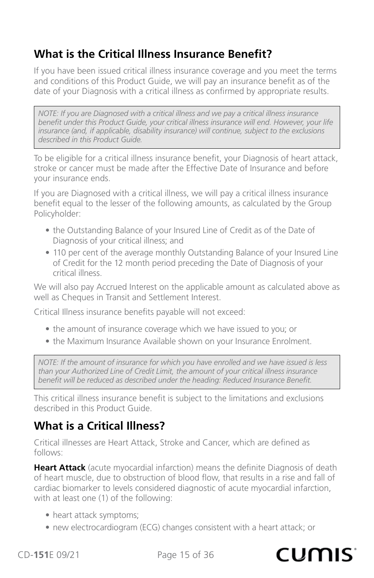## <span id="page-14-0"></span>**What is the Critical Illness Insurance Benefit?**

If you have been issued critical illness insurance coverage and you meet the terms and conditions of this Product Guide, we will pay an insurance benefit as of the date of your Diagnosis with a critical illness as confirmed by appropriate results.

*NOTE: If you are Diagnosed with a critical illness and we pay a critical illness insurance benefit under this Product Guide, your critical illness insurance will end. However, your life insurance (and, if applicable, disability insurance) will continue, subject to the exclusions described in this Product Guide.*

To be eligible for a critical illness insurance benefit, your Diagnosis of heart attack, stroke or cancer must be made after the Effective Date of Insurance and before your insurance ends.

If you are Diagnosed with a critical illness, we will pay a critical illness insurance benefit equal to the lesser of the following amounts, as calculated by the Group Policyholder:

- the Outstanding Balance of your Insured Line of Credit as of the Date of Diagnosis of your critical illness; and
- 110 per cent of the average monthly Outstanding Balance of your Insured Line of Credit for the 12 month period preceding the Date of Diagnosis of your critical illness.

We will also pay Accrued Interest on the applicable amount as calculated above as well as Cheques in Transit and Settlement Interest.

Critical Illness insurance benefits payable will not exceed:

- the amount of insurance coverage which we have issued to you; or
- the Maximum Insurance Available shown on your Insurance Enrolment.

*NOTE: If the amount of insurance for which you have enrolled and we have issued is less than your Authorized Line of Credit Limit, the amount of your critical illness insurance benefit will be reduced as described under the heading: Reduced Insurance Benefit.*

This critical illness insurance benefit is subject to the limitations and exclusions described in this Product Guide.

### **What is a Critical Illness?**

Critical illnesses are Heart Attack, Stroke and Cancer, which are defined as follows:

**Heart Attack** (acute myocardial infarction) means the definite Diagnosis of death of heart muscle, due to obstruction of blood flow, that results in a rise and fall of cardiac biomarker to levels considered diagnostic of acute myocardial infarction, with at least one (1) of the following:

- heart attack symptoms;
- new electrocardiogram (ECG) changes consistent with a heart attack; or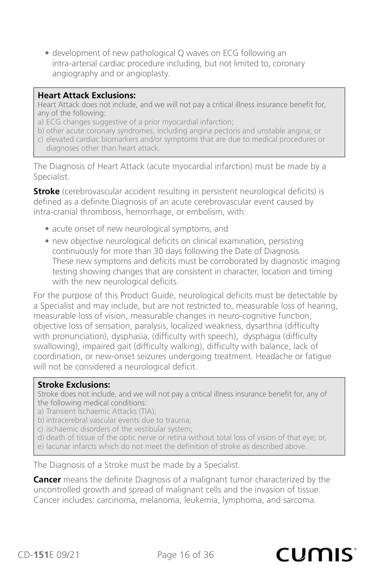• development of new pathological Q waves on ECG following an intra-arterial cardiac procedure including, but not limited to, coronary angiography and or angioplasty.

#### **Heart Attack Exclusions:**

Heart Attack does not include, and we will not pay a critical illness insurance benefit for, any of the following:

- a) ECG changes suggestive of a prior myocardial infarction;
- b) other acute coronary syndromes, including angina pectoris and unstable angina; or
- c) elevated cardiac biomarkers and/or symptoms that are due to medical procedures or diagnoses other than heart attack.

The Diagnosis of Heart Attack (acute myocardial infarction) must be made by a Specialist.

**Stroke** (cerebrovascular accident resulting in persistent neurological deficits) is defined as a definite Diagnosis of an acute cerebrovascular event caused by intra-cranial thrombosis, hemorrhage, or embolism, with:

- acute onset of new neurological symptoms, and
- new objective neurological deficits on clinical examination, persisting continuously for more than 30 days following the Date of Diagnosis. These new symptoms and deficits must be corroborated by diagnostic imaging testing showing changes that are consistent in character, location and timing with the new neurological deficits.

For the purpose of this Product Guide, neurological deficits must be detectable by a Specialist and may include, but are not restricted to, measurable loss of hearing, measurable loss of vision, measurable changes in neuro-cognitive function, objective loss of sensation, paralysis, localized weakness, dysarthria (difficulty with pronunciation), dysphasia, (difficulty with speech), dysphagia (difficulty swallowing), impaired gait (difficulty walking), difficulty with balance, lack of coordination, or new-onset seizures undergoing treatment. Headache or fatigue will not be considered a neurological deficit.

#### **Stroke Exclusions:**

Stroke does not include, and we will not pay a critical illness insurance benefit for, any of the following medical conditions:

- a) Transient Ischaemic Attacks (TIA);
- b) intracerebral vascular events due to trauma;
- c) ischaemic disorders of the vestibular system;
- d) death of tissue of the optic nerve or retina without total loss of vision of that eye; or,
- e) lacunar infarcts which do not meet the definition of stroke as described above.

The Diagnosis of a Stroke must be made by a Specialist.

**Cancer** means the definite Diagnosis of a malignant tumor characterized by the uncontrolled growth and spread of malignant cells and the invasion of tissue. Cancer includes: carcinoma, melanoma, leukemia, lymphoma, and sarcoma.

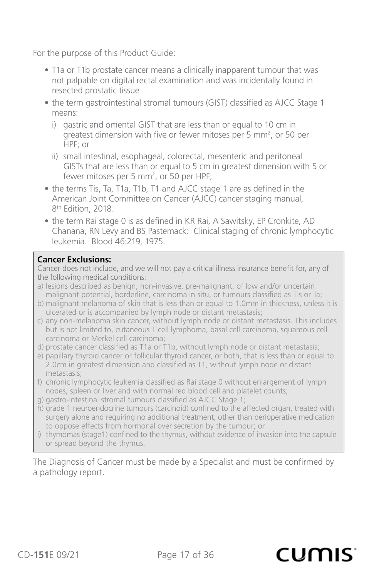For the purpose of this Product Guide:

- T1a or T1b prostate cancer means a clinically inapparent tumour that was not palpable on digital rectal examination and was incidentally found in resected prostatic tissue
- the term gastrointestinal stromal tumours (GIST) classified as AJCC Stage 1 means:
	- i) gastric and omental GIST that are less than or equal to 10 cm in greatest dimension with five or fewer mitoses per 5 mm<sup>2</sup>, or 50 per HPF; or
	- ii) small intestinal, esophageal, colorectal, mesenteric and peritoneal GISTs that are less than or equal to 5 cm in greatest dimension with 5 or fewer mitoses per 5 mm<sup>2</sup>, or 50 per HPF;
- the terms Tis, Ta, T1a, T1b, T1 and AJCC stage 1 are as defined in the American Joint Committee on Cancer (AJCC) cancer staging manual, 8<sup>th</sup> Edition, 2018.
- the term Rai stage 0 is as defined in KR Rai, A Sawitsky, EP Cronkite, AD Chanana, RN Levy and BS Pastemack: Clinical staging of chronic lymphocytic leukemia. Blood 46:219, 1975.

#### **Cancer Exclusions:**

Cancer does not include, and we will not pay a critical illness insurance benefit for, any of the following medical conditions:

- a) lesions described as benign, non-invasive, pre-malignant, of low and/or uncertain malignant potential, borderline, carcinoma in situ, or tumours classified as Tis or Ta;
- b) malignant melanoma of skin that is less than or equal to 1.0mm in thickness, unless it is ulcerated or is accompanied by lymph node or distant metastasis;
- c) any non-melanoma skin cancer, without lymph node or distant metastasis. This includes but is not limited to, cutaneous T cell lymphoma, basal cell carcinoma, squamous cell carcinoma or Merkel cell carcinoma;
- d) prostate cancer classified as T1a or T1b, without lymph node or distant metastasis;
- e) papillary thyroid cancer or follicular thyroid cancer, or both, that is less than or equal to 2.0cm in greatest dimension and classified as T1, without lymph node or distant metastasis;
- f) chronic lymphocytic leukemia classified as Rai stage 0 without enlargement of lymph nodes, spleen or liver and with normal red blood cell and platelet counts;
- g) gastro-intestinal stromal tumours classified as AJCC Stage 1;
- h) grade 1 neuroendocrine tumours (carcinoid) confined to the affected organ, treated with surgery alone and requiring no additional treatment, other than perioperative medication to oppose effects from hormonal over secretion by the tumour; or
- i) thymomas (stage1) confined to the thymus, without evidence of invasion into the capsule or spread beyond the thymus.

The Diagnosis of Cancer must be made by a Specialist and must be confirmed by a pathology report.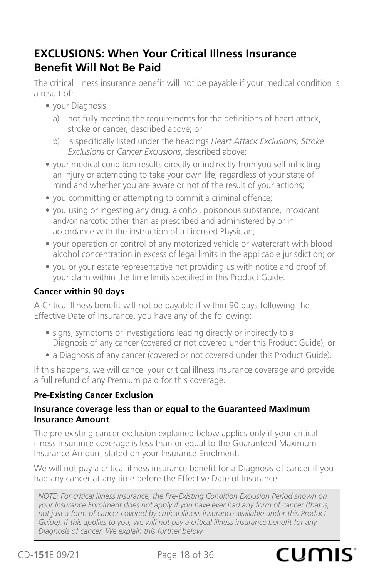## <span id="page-17-0"></span>**EXCLUSIONS: When Your Critical Illness Insurance Benefit Will Not Be Paid**

The critical illness insurance benefit will not be payable if your medical condition is a result of:

- your Diagnosis:
	- a) not fully meeting the requirements for the definitions of heart attack, stroke or cancer, described above; or
	- b) is specifically listed under the headings *Heart Attack Exclusions, Stroke Exclusions* or *Cancer Exclusions*, described above;
- your medical condition results directly or indirectly from you self-inflicting an injury or attempting to take your own life, regardless of your state of mind and whether you are aware or not of the result of your actions;
- you committing or attempting to commit a criminal offence;
- you using or ingesting any drug, alcohol, poisonous substance, intoxicant and/or narcotic other than as prescribed and administered by or in accordance with the instruction of a Licensed Physician;
- your operation or control of any motorized vehicle or watercraft with blood alcohol concentration in excess of legal limits in the applicable jurisdiction; or
- you or your estate representative not providing us with notice and proof of your claim within the time limits specified in this Product Guide.

#### **Cancer within 90 days**

A Critical Illness benefit will not be payable if within 90 days following the Effective Date of Insurance, you have any of the following:

- signs, symptoms or investigations leading directly or indirectly to a Diagnosis of any cancer (covered or not covered under this Product Guide); or
- a Diagnosis of any cancer (covered or not covered under this Product Guide).

If this happens, we will cancel your critical illness insurance coverage and provide a full refund of any Premium paid for this coverage.

#### **Pre-Existing Cancer Exclusion**

#### **Insurance coverage less than or equal to the Guaranteed Maximum Insurance Amount**

The pre-existing cancer exclusion explained below applies only if your critical illness insurance coverage is less than or equal to the Guaranteed Maximum Insurance Amount stated on your Insurance Enrolment.

We will not pay a critical illness insurance benefit for a Diagnosis of cancer if you had any cancer at any time before the Effective Date of Insurance.

*NOTE: For critical illness insurance, the Pre-Existing Condition Exclusion Period shown on your Insurance Enrolment does not apply if you have ever had any form of cancer (that is, not just a form of cancer covered by critical illness insurance available under this Product Guide). If this applies to you, we will not pay a critical illness insurance benefit for any Diagnosis of cancer. We explain this further below.*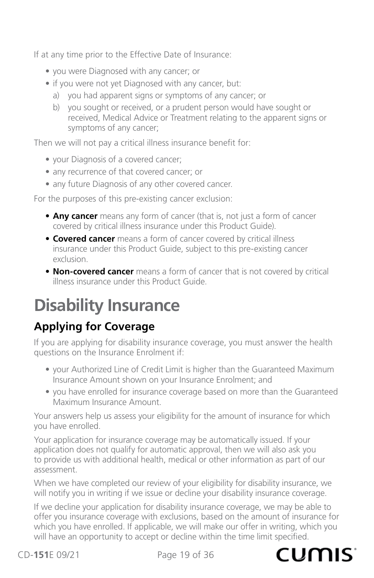<span id="page-18-0"></span>If at any time prior to the Effective Date of Insurance:

- you were Diagnosed with any cancer; or
- if you were not yet Diagnosed with any cancer, but:
	- a) you had apparent signs or symptoms of any cancer; or
	- b) you sought or received, or a prudent person would have sought or received, Medical Advice or Treatment relating to the apparent signs or symptoms of any cancer;

Then we will not pay a critical illness insurance benefit for:

- your Diagnosis of a covered cancer;
- any recurrence of that covered cancer; or
- any future Diagnosis of any other covered cancer.

For the purposes of this pre-existing cancer exclusion:

- **Any cancer** means any form of cancer (that is, not just a form of cancer covered by critical illness insurance under this Product Guide).
- **Covered cancer** means a form of cancer covered by critical illness insurance under this Product Guide, subject to this pre-existing cancer exclusion.
- **Non-covered cancer** means a form of cancer that is not covered by critical illness insurance under this Product Guide.

## **Disability Insurance**

## **Applying for Coverage**

If you are applying for disability insurance coverage, you must answer the health questions on the Insurance Enrolment if:

- your Authorized Line of Credit Limit is higher than the Guaranteed Maximum Insurance Amount shown on your Insurance Enrolment; and
- you have enrolled for insurance coverage based on more than the Guaranteed Maximum Insurance Amount.

Your answers help us assess your eligibility for the amount of insurance for which you have enrolled.

Your application for insurance coverage may be automatically issued. If your application does not qualify for automatic approval, then we will also ask you to provide us with additional health, medical or other information as part of our assessment.

When we have completed our review of your eligibility for disability insurance, we will notify you in writing if we issue or decline your disability insurance coverage.

If we decline your application for disability insurance coverage, we may be able to offer you insurance coverage with exclusions, based on the amount of insurance for which you have enrolled. If applicable, we will make our offer in writing, which you will have an opportunity to accept or decline within the time limit specified.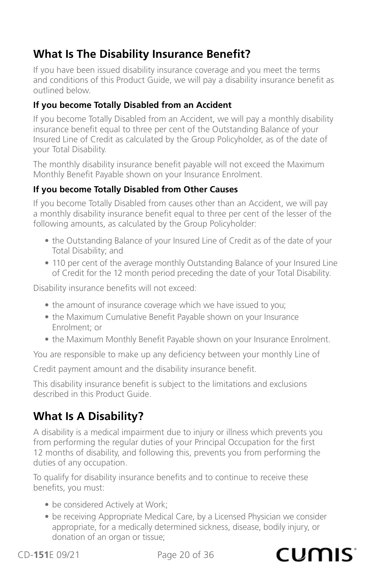## <span id="page-19-0"></span>**What Is The Disability Insurance Benefit?**

If you have been issued disability insurance coverage and you meet the terms and conditions of this Product Guide, we will pay a disability insurance benefit as outlined below.

#### **If you become Totally Disabled from an Accident**

If you become Totally Disabled from an Accident, we will pay a monthly disability insurance benefit equal to three per cent of the Outstanding Balance of your Insured Line of Credit as calculated by the Group Policyholder, as of the date of your Total Disability.

The monthly disability insurance benefit payable will not exceed the Maximum Monthly Benefit Payable shown on your Insurance Enrolment.

#### **If you become Totally Disabled from Other Causes**

If you become Totally Disabled from causes other than an Accident, we will pay a monthly disability insurance benefit equal to three per cent of the lesser of the following amounts, as calculated by the Group Policyholder:

- the Outstanding Balance of your Insured Line of Credit as of the date of your Total Disability; and
- 110 per cent of the average monthly Outstanding Balance of your Insured Line of Credit for the 12 month period preceding the date of your Total Disability.

Disability insurance benefits will not exceed:

- the amount of insurance coverage which we have issued to you;
- the Maximum Cumulative Benefit Payable shown on your Insurance Enrolment; or
- the Maximum Monthly Benefit Payable shown on your Insurance Enrolment.

You are responsible to make up any deficiency between your monthly Line of

Credit payment amount and the disability insurance benefit.

This disability insurance benefit is subject to the limitations and exclusions described in this Product Guide.

## **What Is A Disability?**

A disability is a medical impairment due to injury or illness which prevents you from performing the regular duties of your Principal Occupation for the first 12 months of disability, and following this, prevents you from performing the duties of any occupation.

To qualify for disability insurance benefits and to continue to receive these benefits, you must:

- be considered Actively at Work;
- be receiving Appropriate Medical Care, by a Licensed Physician we consider appropriate, for a medically determined sickness, disease, bodily injury, or donation of an organ or tissue;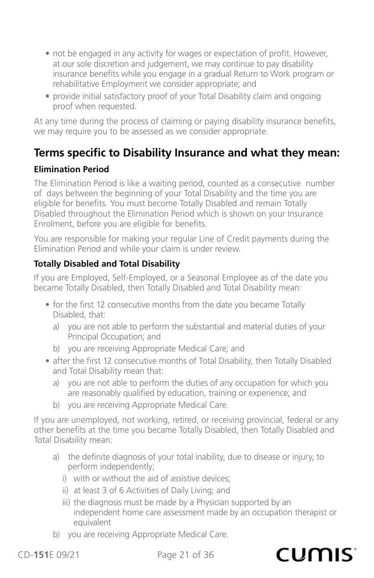- not be engaged in any activity for wages or expectation of profit. However, at our sole discretion and judgement, we may continue to pay disability insurance benefits while you engage in a gradual Return to Work program or rehabilitative Employment we consider appropriate; and
- provide initial satisfactory proof of your Total Disability claim and ongoing proof when requested.

At any time during the process of claiming or paying disability insurance benefits, we may require you to be assessed as we consider appropriate.

## **Terms specific to Disability Insurance and what they mean:**

#### **Elimination Period**

The Elimination Period is like a waiting period, counted as a consecutive number of days between the beginning of your Total Disability and the time you are eligible for benefits. You must become Totally Disabled and remain Totally Disabled throughout the Elimination Period which is shown on your Insurance Enrolment, before you are eligible for benefits.

You are responsible for making your regular Line of Credit payments during the Elimination Period and while your claim is under review.

#### **Totally Disabled and Total Disability**

If you are Employed, Self-Employed, or a Seasonal Employee as of the date you became Totally Disabled, then Totally Disabled and Total Disability mean:

- for the first 12 consecutive months from the date you became Totally Disabled, that:
	- a) you are not able to perform the substantial and material duties of your Principal Occupation; and
	- b) you are receiving Appropriate Medical Care; and
- after the first 12 consecutive months of Total Disability, then Totally Disabled and Total Disability mean that:
	- a) you are not able to perform the duties of any occupation for which you are reasonably qualified by education, training or experience; and
	- b) you are receiving Appropriate Medical Care.

If you are unemployed, not working, retired, or receiving provincial, federal or any other benefits at the time you became Totally Disabled, then Totally Disabled and Total Disability mean:

- a) the definite diagnosis of your total inability, due to disease or injury, to perform independently;
	- i) with or without the aid of assistive devices;
	- ii) at least 3 of 6 Activities of Daily Living; and
	- iii) the diagnosis must be made by a Physician supported by an independent home care assessment made by an occupation therapist or equivalent
- b) you are receiving Appropriate Medical Care.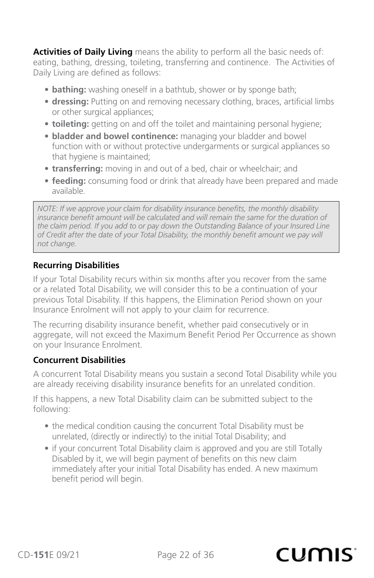**Activities of Daily Living** means the ability to perform all the basic needs of: eating, bathing, dressing, toileting, transferring and continence. The Activities of Daily Living are defined as follows:

- **• bathing:** washing oneself in a bathtub, shower or by sponge bath;
- **• dressing:** Putting on and removing necessary clothing, braces, artificial limbs or other surgical appliances;
- **• toileting:** getting on and off the toilet and maintaining personal hygiene;
- **bladder and bowel continence:** managing your bladder and bowel function with or without protective undergarments or surgical appliances so that hygiene is maintained;
- **• transferring:** moving in and out of a bed, chair or wheelchair; and
- **• feeding:** consuming food or drink that already have been prepared and made available.

*NOTE: If we approve your claim for disability insurance benefits, the monthly disability insurance benefit amount will be calculated and will remain the same for the duration of the claim period. If you add to or pay down the Outstanding Balance of your Insured Line of Credit after the date of your Total Disability, the monthly benefit amount we pay will not change.*

#### **Recurring Disabilities**

If your Total Disability recurs within six months after you recover from the same or a related Total Disability, we will consider this to be a continuation of your previous Total Disability. If this happens, the Elimination Period shown on your Insurance Enrolment will not apply to your claim for recurrence.

The recurring disability insurance benefit, whether paid consecutively or in aggregate, will not exceed the Maximum Benefit Period Per Occurrence as shown on your Insurance Enrolment.

#### **Concurrent Disabilities**

A concurrent Total Disability means you sustain a second Total Disability while you are already receiving disability insurance benefits for an unrelated condition.

If this happens, a new Total Disability claim can be submitted subject to the following:

- the medical condition causing the concurrent Total Disability must be unrelated, (directly or indirectly) to the initial Total Disability; and
- if your concurrent Total Disability claim is approved and you are still Totally Disabled by it, we will begin payment of benefits on this new claim immediately after your initial Total Disability has ended. A new maximum benefit period will begin.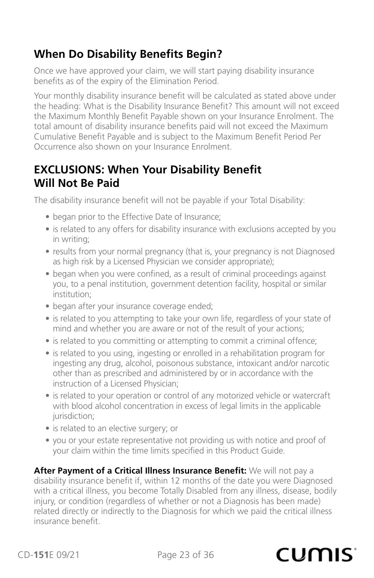## <span id="page-22-0"></span>**When Do Disability Benefits Begin?**

Once we have approved your claim, we will start paying disability insurance benefits as of the expiry of the Elimination Period.

Your monthly disability insurance benefit will be calculated as stated above under the heading: What is the Disability Insurance Benefit? This amount will not exceed the Maximum Monthly Benefit Payable shown on your Insurance Enrolment. The total amount of disability insurance benefits paid will not exceed the Maximum Cumulative Benefit Payable and is subject to the Maximum Benefit Period Per Occurrence also shown on your Insurance Enrolment.

### **EXCLUSIONS: When Your Disability Benefit Will Not Be Paid**

The disability insurance benefit will not be payable if your Total Disability:

- began prior to the Effective Date of Insurance;
- is related to any offers for disability insurance with exclusions accepted by you in writing;
- results from your normal pregnancy (that is, your pregnancy is not Diagnosed as high risk by a Licensed Physician we consider appropriate);
- began when you were confined, as a result of criminal proceedings against you, to a penal institution, government detention facility, hospital or similar institution;
- began after your insurance coverage ended;
- is related to you attempting to take your own life, regardless of your state of mind and whether you are aware or not of the result of your actions;
- is related to you committing or attempting to commit a criminal offence;
- is related to you using, ingesting or enrolled in a rehabilitation program for ingesting any drug, alcohol, poisonous substance, intoxicant and/or narcotic other than as prescribed and administered by or in accordance with the instruction of a Licensed Physician;
- is related to your operation or control of any motorized vehicle or watercraft with blood alcohol concentration in excess of legal limits in the applicable jurisdiction;
- is related to an elective surgery; or
- you or your estate representative not providing us with notice and proof of your claim within the time limits specified in this Product Guide.

**After Payment of a Critical Illness Insurance Benefit:** We will not pay a disability insurance benefit if, within 12 months of the date you were Diagnosed with a critical illness, you become Totally Disabled from any illness, disease, bodily injury, or condition (regardless of whether or not a Diagnosis has been made) related directly or indirectly to the Diagnosis for which we paid the critical illness insurance benefit.

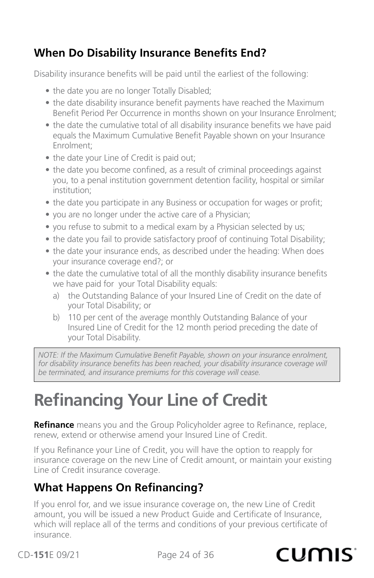## <span id="page-23-0"></span>**When Do Disability Insurance Benefits End?**

Disability insurance benefits will be paid until the earliest of the following:

- the date you are no longer Totally Disabled;
- the date disability insurance benefit payments have reached the Maximum Benefit Period Per Occurrence in months shown on your Insurance Enrolment;
- the date the cumulative total of all disability insurance benefits we have paid equals the Maximum Cumulative Benefit Payable shown on your Insurance Enrolment;
- the date your Line of Credit is paid out;
- the date you become confined, as a result of criminal proceedings against you, to a penal institution government detention facility, hospital or similar institution;
- the date you participate in any Business or occupation for wages or profit;
- you are no longer under the active care of a Physician;
- you refuse to submit to a medical exam by a Physician selected by us;
- the date you fail to provide satisfactory proof of continuing Total Disability;
- the date your insurance ends, as described under the heading: When does your insurance coverage end?; or
- the date the cumulative total of all the monthly disability insurance benefits we have paid for your Total Disability equals:
	- a) the Outstanding Balance of your Insured Line of Credit on the date of your Total Disability; or
	- b) 110 per cent of the average monthly Outstanding Balance of your Insured Line of Credit for the 12 month period preceding the date of your Total Disability.

*NOTE: If the Maximum Cumulative Benefit Payable, shown on your insurance enrolment, for disability insurance benefits has been reached, your disability insurance coverage will be terminated, and insurance premiums for this coverage will cease.*

## **Refinancing Your Line of Credit**

**Refinance** means you and the Group Policyholder agree to Refinance, replace, renew, extend or otherwise amend your Insured Line of Credit.

If you Refinance your Line of Credit, you will have the option to reapply for insurance coverage on the new Line of Credit amount, or maintain your existing Line of Credit insurance coverage.

## **What Happens On Refinancing?**

If you enrol for, and we issue insurance coverage on, the new Line of Credit amount, you will be issued a new Product Guide and Certificate of Insurance, which will replace all of the terms and conditions of your previous certificate of insurance.

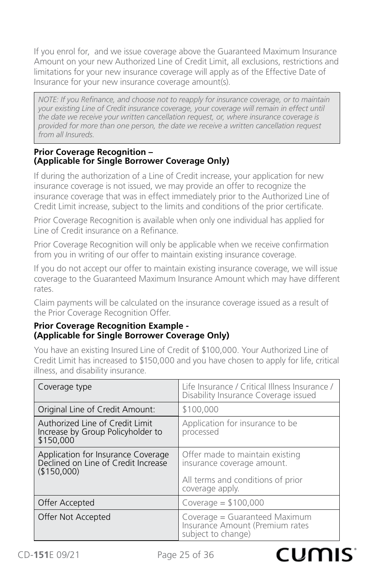If you enrol for, and we issue coverage above the Guaranteed Maximum Insurance Amount on your new Authorized Line of Credit Limit, all exclusions, restrictions and limitations for your new insurance coverage will apply as of the Effective Date of Insurance for your new insurance coverage amount(s).

*NOTE: If you Refinance, and choose not to reapply for insurance coverage, or to maintain your existing Line of Credit insurance coverage, your coverage will remain in effect until the date we receive your written cancellation request, or, where insurance coverage is provided for more than one person, the date we receive a written cancellation request from all Insureds.*

#### **Prior Coverage Recognition – (Applicable for Single Borrower Coverage Only)**

If during the authorization of a Line of Credit increase, your application for new insurance coverage is not issued, we may provide an offer to recognize the insurance coverage that was in effect immediately prior to the Authorized Line of Credit Limit increase, subject to the limits and conditions of the prior certificate.

Prior Coverage Recognition is available when only one individual has applied for Line of Credit insurance on a Refinance.

Prior Coverage Recognition will only be applicable when we receive confirmation from you in writing of our offer to maintain existing insurance coverage.

If you do not accept our offer to maintain existing insurance coverage, we will issue coverage to the Guaranteed Maximum Insurance Amount which may have different rates.

Claim payments will be calculated on the insurance coverage issued as a result of the Prior Coverage Recognition Offer.

#### **Prior Coverage Recognition Example - (Applicable for Single Borrower Coverage Only)**

You have an existing Insured Line of Credit of \$100,000. Your Authorized Line of Credit Limit has increased to \$150,000 and you have chosen to apply for life, critical illness, and disability insurance.

| Coverage type                                                                            | Life Insurance / Critical Illness Insurance /<br>Disability Insurance Coverage issued                                 |
|------------------------------------------------------------------------------------------|-----------------------------------------------------------------------------------------------------------------------|
| Original Line of Credit Amount:                                                          | \$100,000                                                                                                             |
| Authorized Line of Credit Limit<br>Increase by Group Policyholder to<br>\$150,000        | Application for insurance to be<br>processed                                                                          |
| Application for Insurance Coverage<br>Declined on Line of Credit Increase<br>(\$150,000) | Offer made to maintain existing<br>insurance coverage amount.<br>All terms and conditions of prior<br>coverage apply. |
| Offer Accepted                                                                           | Coverage = $$100,000$                                                                                                 |
| Offer Not Accepted                                                                       | Coverage = Guaranteed Maximum<br>Insurance Amount (Premium rates<br>subject to change)                                |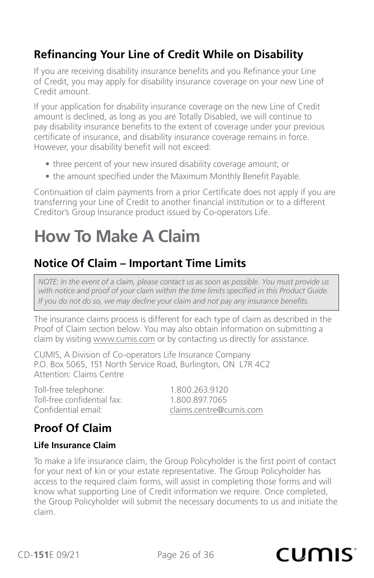## <span id="page-25-0"></span>**Refinancing Your Line of Credit While on Disability**

If you are receiving disability insurance benefits and you Refinance your Line of Credit, you may apply for disability insurance coverage on your new Line of Credit amount.

If your application for disability insurance coverage on the new Line of Credit amount is declined, as long as you are Totally Disabled, we will continue to pay disability insurance benefits to the extent of coverage under your previous certificate of insurance, and disability insurance coverage remains in force. However, your disability benefit will not exceed:

- three percent of your new insured disability coverage amount; or
- the amount specified under the Maximum Monthly Benefit Payable.

Continuation of claim payments from a prior Certificate does not apply if you are transferring your Line of Credit to another financial institution or to a different Creditor's Group Insurance product issued by Co-operators Life.

## **How To Make A Claim**

## **Notice Of Claim – Important Time Limits**

*NOTE: In the event of a claim, please contact us as soon as possible. You must provide us with notice and proof of your claim within the time limits specified in this Product Guide. If you do not do so, we may decline your claim and not pay any insurance benefits.*

The insurance claims process is different for each type of claim as described in the Proof of Claim section below. You may also obtain information on submitting a claim by visiting www.cumis.com or by contacting us directly for assistance.

CUMIS, A Division of Co-operators Life Insurance Company P.O. Box 5065, 151 North Service Road, Burlington, ON L7R 4C2 Attention: Claims Centre

Toll-free telephone: 1.800.263.9120 Toll-free confidential fax: 1.800.897.7065

Confidential email: confidential email:

## **Proof Of Claim**

#### **Life Insurance Claim**

To make a life insurance claim, the Group Policyholder is the first point of contact for your next of kin or your estate representative. The Group Policyholder has access to the required claim forms, will assist in completing those forms and will know what supporting Line of Credit information we require. Once completed, the Group Policyholder will submit the necessary documents to us and initiate the claim.

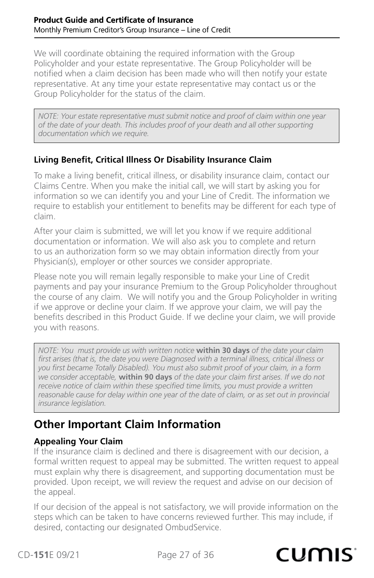<span id="page-26-0"></span>We will coordinate obtaining the required information with the Group Policyholder and your estate representative. The Group Policyholder will be notified when a claim decision has been made who will then notify your estate representative. At any time your estate representative may contact us or the Group Policyholder for the status of the claim.

*NOTE: Your estate representative must submit notice and proof of claim within one year of the date of your death. This includes proof of your death and all other supporting documentation which we require.*

#### **Living Benefit, Critical Illness Or Disability Insurance Claim**

To make a living benefit, critical illness, or disability insurance claim, contact our Claims Centre. When you make the initial call, we will start by asking you for information so we can identify you and your Line of Credit. The information we require to establish your entitlement to benefits may be different for each type of claim.

After your claim is submitted, we will let you know if we require additional documentation or information. We will also ask you to complete and return to us an authorization form so we may obtain information directly from your Physician(s), employer or other sources we consider appropriate.

Please note you will remain legally responsible to make your Line of Credit payments and pay your insurance Premium to the Group Policyholder throughout the course of any claim. We will notify you and the Group Policyholder in writing if we approve or decline your claim. If we approve your claim, we will pay the benefits described in this Product Guide. If we decline your claim, we will provide you with reasons.

*NOTE: You must provide us with written notice* **within 30 days** *of the date your claim first arises (that is, the date you were Diagnosed with a terminal illness, critical illness or you first became Totally Disabled). You must also submit proof of your claim, in a form we consider acceptable,* **within 90 days** *of the date your claim first arises. If we do not receive notice of claim within these specified time limits, you must provide a written reasonable cause for delay within one year of the date of claim, or as set out in provincial insurance legislation.*

## **Other Important Claim Information**

#### **Appealing Your Claim**

If the insurance claim is declined and there is disagreement with our decision, a formal written request to appeal may be submitted. The written request to appeal must explain why there is disagreement, and supporting documentation must be provided. Upon receipt, we will review the request and advise on our decision of the appeal.

If our decision of the appeal is not satisfactory, we will provide information on the steps which can be taken to have concerns reviewed further. This may include, if desired, contacting our designated OmbudService.

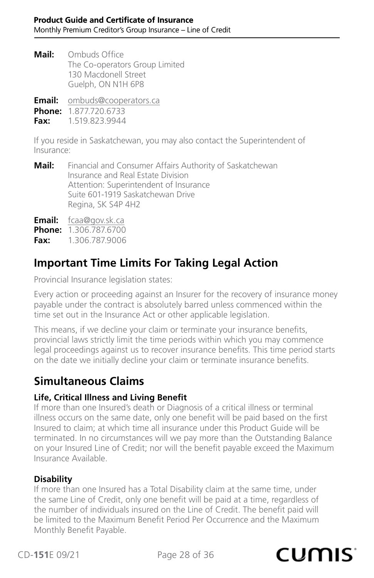<span id="page-27-0"></span>**Mail:** Ombuds Office The Co-operators Group Limited 130 Macdonell Street Guelph, ON N1H 6P8

**Email:** [ombuds@cooperators.ca](mailto:ombuds%40cooperators.ca?subject=)

**Phone:** 1.877.720.6733

**Fax:** 1.519.823.9944

If you reside in Saskatchewan, you may also contact the Superintendent of Insurance:

**Mail:** Financial and Consumer Affairs Authority of Saskatchewan Insurance and Real Estate Division Attention: Superintendent of Insurance Suite 601-1919 Saskatchewan Drive Regina, SK S4P 4H2

**Email:** [fcaa@gov.sk.ca](mailto:fcaa%40gov.sk.ca?subject=)

**Phone:** 1.306.787.67

**Fax:** 1.306.787.9006

### **Important Time Limits For Taking Legal Action**

Provincial Insurance legislation states:

Every action or proceeding against an Insurer for the recovery of insurance money payable under the contract is absolutely barred unless commenced within the time set out in the Insurance Act or other applicable legislation.

This means, if we decline your claim or terminate your insurance benefits, provincial laws strictly limit the time periods within which you may commence legal proceedings against us to recover insurance benefits. This time period starts on the date we initially decline your claim or terminate insurance benefits.

### **Simultaneous Claims**

#### **Life, Critical Illness and Living Benefit**

If more than one Insured's death or Diagnosis of a critical illness or terminal illness occurs on the same date, only one benefit will be paid based on the first Insured to claim; at which time all insurance under this Product Guide will be terminated. In no circumstances will we pay more than the Outstanding Balance on your Insured Line of Credit; nor will the benefit payable exceed the Maximum Insurance Available.

#### **Disability**

If more than one Insured has a Total Disability claim at the same time, under the same Line of Credit, only one benefit will be paid at a time, regardless of the number of individuals insured on the Line of Credit. The benefit paid will be limited to the Maximum Benefit Period Per Occurrence and the Maximum Monthly Benefit Payable.

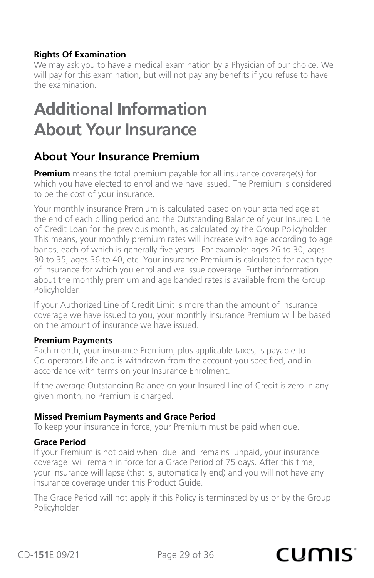#### <span id="page-28-0"></span>**Rights Of Examination**

We may ask you to have a medical examination by a Physician of our choice. We will pay for this examination, but will not pay any benefits if you refuse to have the examination.

## **Additional Information About Your Insurance**

## **About Your Insurance Premium**

**Premium** means the total premium payable for all insurance coverage(s) for which you have elected to enrol and we have issued. The Premium is considered to be the cost of your insurance.

Your monthly insurance Premium is calculated based on your attained age at the end of each billing period and the Outstanding Balance of your Insured Line of Credit Loan for the previous month, as calculated by the Group Policyholder. This means, your monthly premium rates will increase with age according to age bands, each of which is generally five years. For example: ages 26 to 30, ages 30 to 35, ages 36 to 40, etc. Your insurance Premium is calculated for each type of insurance for which you enrol and we issue coverage. Further information about the monthly premium and age banded rates is available from the Group Policyholder.

If your Authorized Line of Credit Limit is more than the amount of insurance coverage we have issued to you, your monthly insurance Premium will be based on the amount of insurance we have issued.

#### **Premium Payments**

Each month, your insurance Premium, plus applicable taxes, is payable to Co-operators Life and is withdrawn from the account you specified, and in accordance with terms on your Insurance Enrolment.

If the average Outstanding Balance on your Insured Line of Credit is zero in any given month, no Premium is charged.

#### **Missed Premium Payments and Grace Period**

To keep your insurance in force, your Premium must be paid when due.

#### **Grace Period**

If your Premium is not paid when due and remains unpaid, your insurance coverage will remain in force for a Grace Period of 75 days. After this time, your insurance will lapse (that is, automatically end) and you will not have any insurance coverage under this Product Guide.

The Grace Period will not apply if this Policy is terminated by us or by the Group Policyholder.

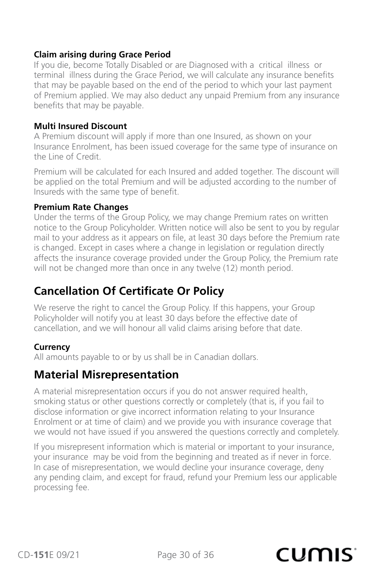#### <span id="page-29-0"></span>**Claim arising during Grace Period**

If you die, become Totally Disabled or are Diagnosed with a critical illness or terminal illness during the Grace Period, we will calculate any insurance benefits that may be payable based on the end of the period to which your last payment of Premium applied. We may also deduct any unpaid Premium from any insurance benefits that may be payable.

#### **Multi Insured Discount**

A Premium discount will apply if more than one Insured, as shown on your Insurance Enrolment, has been issued coverage for the same type of insurance on the Line of Credit.

Premium will be calculated for each Insured and added together. The discount will be applied on the total Premium and will be adjusted according to the number of Insureds with the same type of benefit.

#### **Premium Rate Changes**

Under the terms of the Group Policy, we may change Premium rates on written notice to the Group Policyholder. Written notice will also be sent to you by regular mail to your address as it appears on file, at least 30 days before the Premium rate is changed. Except in cases where a change in legislation or regulation directly affects the insurance coverage provided under the Group Policy, the Premium rate will not be changed more than once in any twelve (12) month period.

## **Cancellation Of Certificate Or Policy**

We reserve the right to cancel the Group Policy. If this happens, your Group Policyholder will notify you at least 30 days before the effective date of cancellation, and we will honour all valid claims arising before that date.

#### **Currency**

All amounts payable to or by us shall be in Canadian dollars.

### **Material Misrepresentation**

A material misrepresentation occurs if you do not answer required health, smoking status or other questions correctly or completely (that is, if you fail to disclose information or give incorrect information relating to your Insurance Enrolment or at time of claim) and we provide you with insurance coverage that we would not have issued if you answered the questions correctly and completely.

If you misrepresent information which is material or important to your insurance, your insurance may be void from the beginning and treated as if never in force. In case of misrepresentation, we would decline your insurance coverage, deny any pending claim, and except for fraud, refund your Premium less our applicable processing fee.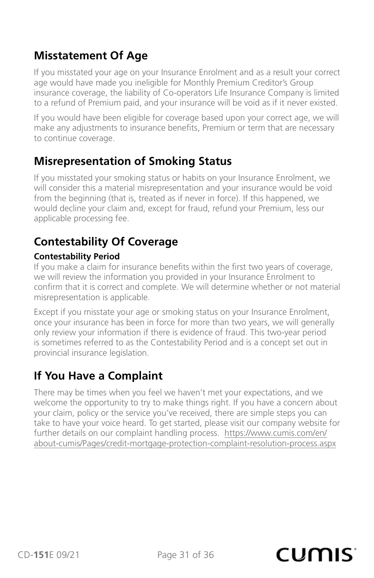### <span id="page-30-0"></span>**Misstatement Of Age**

If you misstated your age on your Insurance Enrolment and as a result your correct age would have made you ineligible for Monthly Premium Creditor's Group insurance coverage, the liability of Co-operators Life Insurance Company is limited to a refund of Premium paid, and your insurance will be void as if it never existed.

If you would have been eligible for coverage based upon your correct age, we will make any adjustments to insurance benefits, Premium or term that are necessary to continue coverage.

### **Misrepresentation of Smoking Status**

If you misstated your smoking status or habits on your Insurance Enrolment, we will consider this a material misrepresentation and your insurance would be void from the beginning (that is, treated as if never in force). If this happened, we would decline your claim and, except for fraud, refund your Premium, less our applicable processing fee.

## **Contestability Of Coverage**

#### **Contestability Period**

If you make a claim for insurance benefits within the first two years of coverage, we will review the information you provided in your Insurance Enrolment to confirm that it is correct and complete. We will determine whether or not material misrepresentation is applicable.

Except if you misstate your age or smoking status on your Insurance Enrolment, once your insurance has been in force for more than two years, we will generally only review your information if there is evidence of fraud. This two-year period is sometimes referred to as the Contestability Period and is a concept set out in provincial insurance legislation.

## **If You Have a Complaint**

There may be times when you feel we haven't met your expectations, and we welcome the opportunity to try to make things right. If you have a concern about your claim, policy or the service you've received, there are simple steps you can take to have your voice heard. To get started, please visit our company website for further details on our complaint handling process. [https://www.cumis.com/en/](https://www.cumis.com/en/about-cumis/Pages/credit-mortgage-protection-complaint-resolution-process.aspx) [about-cumis/Pages/credit-mortgage-protection-complaint-resolution-process.aspx](https://www.cumis.com/en/about-cumis/Pages/credit-mortgage-protection-complaint-resolution-process.aspx)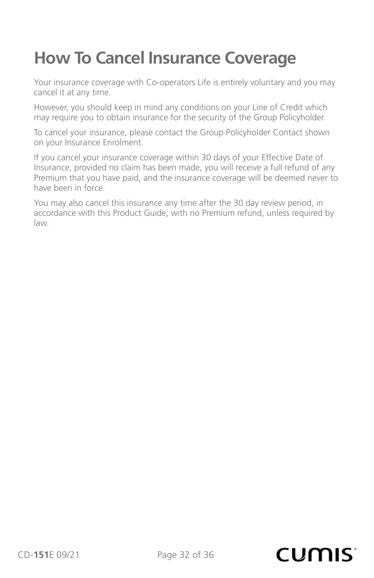## <span id="page-31-0"></span>**How To Cancel Insurance Coverage**

Your insurance coverage with Co-operators Life is entirely voluntary and you may cancel it at any time.

However, you should keep in mind any conditions on your Line of Credit which may require you to obtain insurance for the security of the Group Policyholder.

To cancel your insurance, please contact the Group Policyholder Contact shown on your Insurance Enrolment.

If you cancel your insurance coverage within 30 days of your Effective Date of Insurance, provided no claim has been made, you will receive a full refund of any Premium that you have paid, and the insurance coverage will be deemed never to have been in force.

You may also cancel this insurance any time after the 30 day review period, in accordance with this Product Guide, with no Premium refund, unless required by law.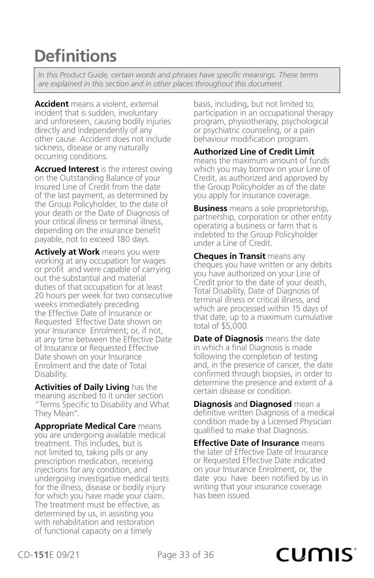## <span id="page-32-0"></span>**Definitions**

*In this Product Guide, certain words and phrases have specific meanings. These terms are explained in this section and in other places throughout this document.*

**Accident** means a violent, external incident that is sudden, involuntary and unforeseen, causing bodily injuries directly and independently of any other cause. Accident does not include sickness, disease or any naturally occurring conditions.

**Accrued Interest** is the interest owing on the Outstanding Balance of your Insured Line of Credit from the date of the last payment, as determined by the Group Policyholder, to the date of your death or the Date of Diagnosis of your critical illness or terminal illness, depending on the insurance benefit payable, not to exceed 180 days.

**Actively at Work** means you were working at any occupation for wages or profit and were capable of carrying out the substantial and material duties of that occupation for at least 20 hours per week for two consecutive weeks immediately preceding the Effective Date of Insurance or Requested Effective Date shown on your Insurance Enrolment; or, if not, at any time between the Effective Date of Insurance or Requested Effective Date shown on your Insurance Enrolment and the date of Total Disability.

**Activities of Daily Living** has the meaning ascribed to it under section "Terms Specific to Disability and What They Mean".

**Appropriate Medical Care** means you are undergoing available medical treatment. This includes, but is not limited to, taking pills or any prescription medication, receiving injections for any condition, and undergoing investigative medical tests for the illness, disease or bodily injury for which you have made your claim. The treatment must be effective, as determined by us, in assisting you with rehabilitation and restoration of functional capacity on a timely

basis, including, but not limited to, participation in an occupational therapy program, physiotherapy, psychological or psychiatric counseling, or a pain behaviour modification program.

#### **Authorized Line of Credit Limit**

means the maximum amount of funds which you may borrow on your Line of Credit, as authorized and approved by the Group Policyholder as of the date you apply for insurance coverage.

**Business** means a sole proprietorship, partnership, corporation or other entity operating a business or farm that is indebted to the Group Policyholder under a Line of Credit.

**Cheques in Transit** means any cheques you have written or any debits you have authorized on your Line of Credit prior to the date of your death, Total Disability, Date of Diagnosis of terminal illness or critical illness, and which are processed within 15 days of that date, up to a maximum cumulative total of \$5,000.

**Date of Diagnosis** means the date in which a final Diagnosis is made following the completion of testing and, in the presence of cancer, the date confirmed through biopsies, in order to determine the presence and extent of a certain disease or condition.

**Diagnosis** and **Diagnosed** mean a definitive written Diagnosis of a medical condition made by a Licensed Physician qualified to make that Diagnosis.

**Effective Date of Insurance** means the later of Effective Date of Insurance or Requested Effective Date indicated on your Insurance Enrolment, or, the date you have been notified by us in writing that your insurance coverage has been issued.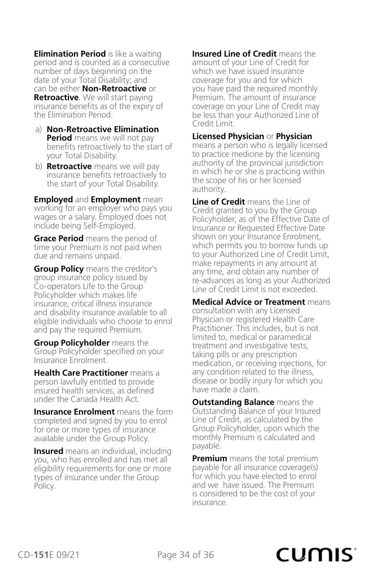**Elimination Period** is like a waiting period and is counted as a consecutive number of days beginning on the date of your Total Disability; and can be either **Non-Retroactive** or **Retroactive**. We will start paying insurance benefits as of the expiry of the Elimination Period.

- a) **Non-Retroactive Elimination Period** means we will not pay benefits retroactively to the start of your Total Disability.
- b) **Retroactive** means we will pay insurance benefits retroactively to the start of your Total Disability.

**Employed** and **Employment** mean working for an employer who pays you wages or a salary. Employed does not include being Self-Employed.

**Grace Period** means the period of time your Premium is not paid when due and remains unpaid.

**Group Policy** means the creditor's group insurance policy issued by Co-operators Life to the Group Policyholder which makes life insurance, critical illness insurance and disability insurance available to all eligible individuals who choose to enrol and pay the required Premium.

**Group Policyholder** means the Group Policyholder specified on your Insurance Enrolment.

**Health Care Practitioner** means a person lawfully entitled to provide insured health services, as defined under the Canada Health Act.

**Insurance Enrolment** means the form completed and signed by you to enrol for one or more types of insurance available under the Group Policy.

**Insured** means an individual, including you, who has enrolled and has met all eligibility requirements for one or more types of insurance under the Group Policy.

**Insured Line of Credit** means the amount of your Line of Credit for which we have issued insurance coverage for you and for which you have paid the required monthly Premium. The amount of insurance coverage on your Line of Credit may be less than your Authorized Line of Credit Limit.

#### **Licensed Physician** or **Physician**

means a person who is legally licensed to practice medicine by the licensing authority of the provincial jurisdiction in which he or she is practicing within the scope of his or her licensed authority.

**Line of Credit** means the Line of Credit granted to you by the Group Policyholder, as of the Effective Date of Insurance or Requested Effective Date shown on your Insurance Enrolment, which permits you to borrow funds up to your Authorized Line of Credit Limit, make repayments in any amount at any time, and obtain any number of re-advances as long as your Authorized Line of Credit Limit is not exceeded.

**Medical Advice or Treatment** means consultation with any Licensed Physician or registered Health Care Practitioner. This includes, but is not limited to, medical or paramedical treatment and investigative tests, taking pills or any prescription medication, or receiving injections, for any condition related to the illness, disease or bodily injury for which you have made a claim.

**Outstanding Balance** means the Outstanding Balance of your Insured Line of Credit, as calculated by the Group Policyholder, upon which the monthly Premium is calculated and payable.

**Premium** means the total premium payable for all insurance coverage(s) for which you have elected to enrol and we have issued. The Premium is considered to be the cost of your insurance.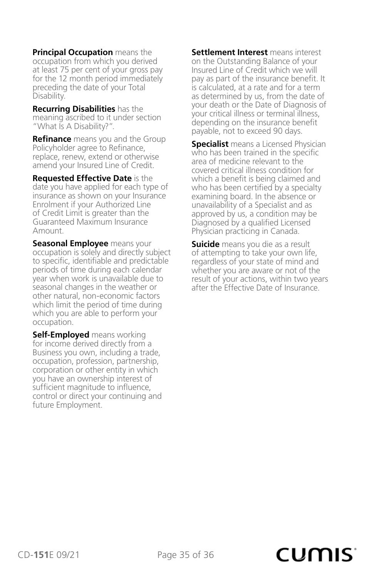**Principal Occupation** means the occupation from which you derived at least 75 per cent of your gross pay for the 12 month period immediately preceding the date of your Total Disability.

**Recurring Disabilities** has the meaning ascribed to it under section "What Is A Disability?".

**Refinance** means you and the Group Policyholder agree to Refinance, replace, renew, extend or otherwise amend your Insured Line of Credit.

**Requested Effective Date** is the date you have applied for each type of insurance as shown on your Insurance Enrolment if your Authorized Line of Credit Limit is greater than the Guaranteed Maximum Insurance Amount.

**Seasonal Employee** means your occupation is solely and directly subject to specific, identifiable and predictable periods of time during each calendar year when work is unavailable due to seasonal changes in the weather or other natural, non-economic factors which limit the period of time during which you are able to perform your occupation.

**Self-Employed** means working for income derived directly from a Business you own, including a trade, occupation, profession, partnership, corporation or other entity in which you have an ownership interest of sufficient magnitude to influence, control or direct your continuing and future Employment.

**Settlement Interest** means interest on the Outstanding Balance of your Insured Line of Credit which we will pay as part of the insurance benefit. It is calculated, at a rate and for a term as determined by us, from the date of your death or the Date of Diagnosis of your critical illness or terminal illness, depending on the insurance benefit payable, not to exceed 90 days.

**Specialist** means a Licensed Physician who has been trained in the specific area of medicine relevant to the covered critical illness condition for which a benefit is being claimed and who has been certified by a specialty examining board. In the absence or unavailability of a Specialist and as approved by us, a condition may be Diagnosed by a qualified Licensed Physician practicing in Canada.

**Suicide** means you die as a result of attempting to take your own life, regardless of your state of mind and whether you are aware or not of the result of your actions, within two years after the Effective Date of Insurance.